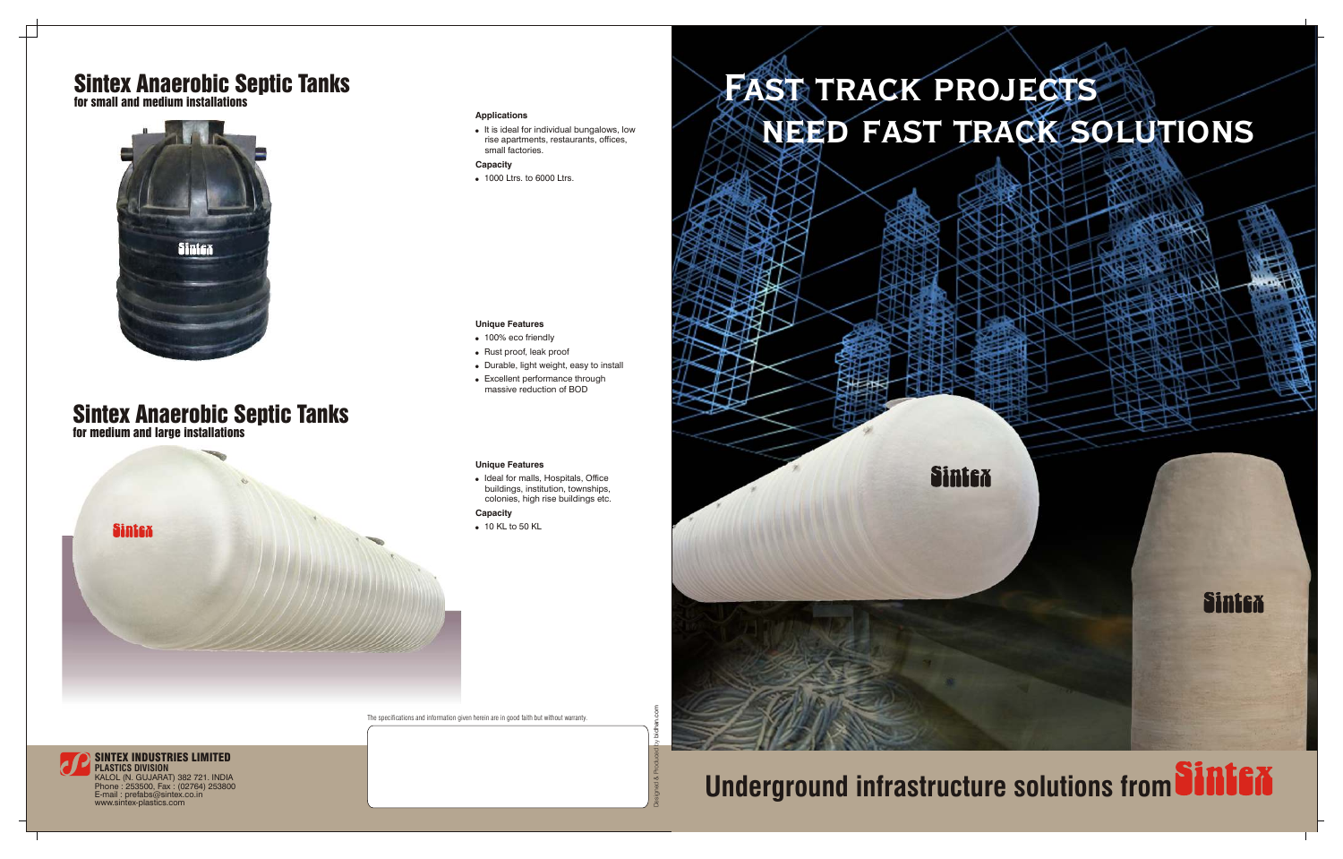# **Fast track projects need fast track solutions**



# **Underground infrastructure solutions from SINIEX**

Sintex

### **Unique Features**

- 100% eco friendly
- Rust proof, leak proof
- . Durable, light weight, easy to install
- Excellent performance through massive reduction of BOD

. It is ideal for individual bungalows, low rise apartments, restaurants, offices, small factories.



• Ideal for malls, Hospitals, Office buildings, institution, townships, colonies, high rise buildings etc.

**Capacity**

• 1000 Ltrs. to 6000 Ltrs.

### **Unique Features**

### **Capacity**

• 10 KL to 50 KL

## Sintex Anaerobic Septic Tanks for medium and large installations

**Sintex** 

## Sintex Anaerobic Septic Tanks

for small and medium installations



The specifications and information given herein are in good faith but without warranty.